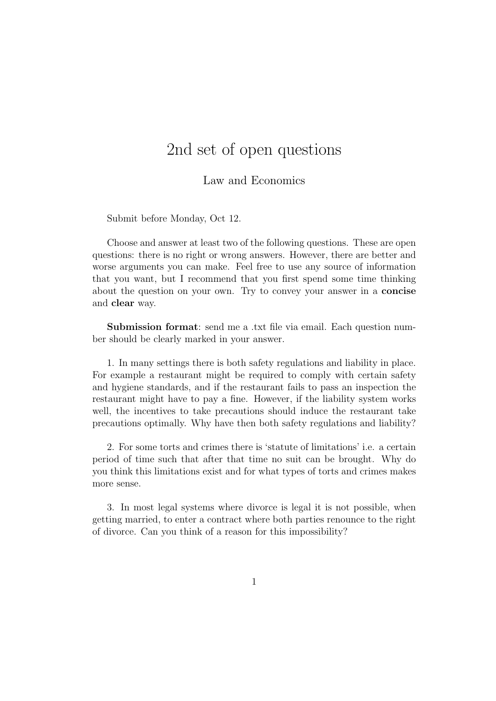## 2nd set of open questions

## Law and Economics

Submit before Monday, Oct 12.

Choose and answer at least two of the following questions. These are open questions: there is no right or wrong answers. However, there are better and worse arguments you can make. Feel free to use any source of information that you want, but I recommend that you first spend some time thinking about the question on your own. Try to convey your answer in a concise and clear way.

Submission format: send me a .txt file via email. Each question number should be clearly marked in your answer.

1. In many settings there is both safety regulations and liability in place. For example a restaurant might be required to comply with certain safety and hygiene standards, and if the restaurant fails to pass an inspection the restaurant might have to pay a fine. However, if the liability system works well, the incentives to take precautions should induce the restaurant take precautions optimally. Why have then both safety regulations and liability?

2. For some torts and crimes there is 'statute of limitations' i.e. a certain period of time such that after that time no suit can be brought. Why do you think this limitations exist and for what types of torts and crimes makes more sense.

3. In most legal systems where divorce is legal it is not possible, when getting married, to enter a contract where both parties renounce to the right of divorce. Can you think of a reason for this impossibility?